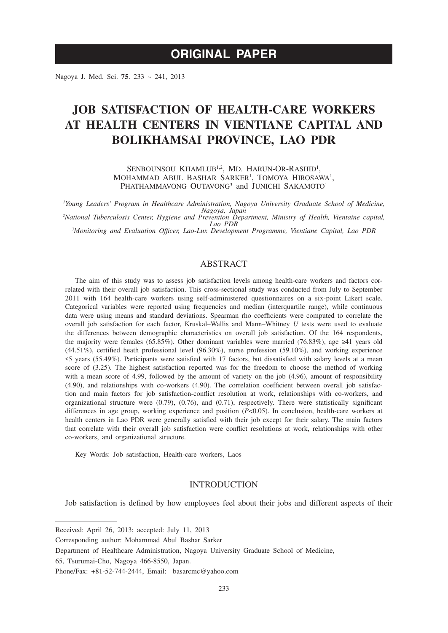# **ORIGINAL PAPER**

Nagoya J. Med. Sci. **75**. 233 ~ 241, 2013

# **JOB SATISFACTION OF HEALTH-CARE WORKERS AT HEALTH CENTERS IN VIENTIANE CAPITAL AND BOLIKHAMSAI PROVINCE, LAO PDR**

SENBOUNSOU KHAMLUB<sup>1,2</sup>, MD. HARUN-OR-RASHID<sup>1</sup>, MOHAMMAD ABUL BASHAR SARKER<sup>1</sup>, TOMOYA HIROSAWA<sup>1</sup>, PHATHAMMAVONG OUTAVONG<sup>3</sup> and JUNICHI SAKAMOTO<sup>1</sup>

*1 Young Leaders' Program in Healthcare Administration, Nagoya University Graduate School of Medicine, Nagoya, Japan <sup>2</sup> National Tuberculosis Center, Hygiene and Prevention Department, Ministry of Health, Vientaine capital,* 

*Lao PDR <sup>3</sup> Monitoring and Evaluation Officer, Lao-Lux Development Programme, Vientiane Capital, Lao PDR*

## ABSTRACT

The aim of this study was to assess job satisfaction levels among health-care workers and factors correlated with their overall job satisfaction. This cross-sectional study was conducted from July to September 2011 with 164 health-care workers using self-administered questionnaires on a six-point Likert scale. Categorical variables were reported using frequencies and median (interquartile range), while continuous data were using means and standard deviations. Spearman rho coefficients were computed to correlate the overall job satisfaction for each factor, Kruskal–Wallis and Mann–Whitney *U* tests were used to evaluate the differences between demographic characteristics on overall job satisfaction. Of the 164 respondents, the majority were females (65.85%). Other dominant variables were married (76.83%), age ≥41 years old (44.51%), certified heath professional level (96.30%), nurse profession (59.10%), and working experience ≤5 years (55.49%). Participants were satisfied with 17 factors, but dissatisfied with salary levels at a mean score of (3.25). The highest satisfaction reported was for the freedom to choose the method of working with a mean score of 4.99, followed by the amount of variety on the job (4.96), amount of responsibility (4.90), and relationships with co-workers (4.90). The correlation coefficient between overall job satisfaction and main factors for job satisfaction-conflict resolution at work, relationships with co-workers, and organizational structure were (0.79), (0.76), and (0.71), respectively. There were statistically significant differences in age group, working experience and position  $(P<0.05)$ . In conclusion, health-care workers at health centers in Lao PDR were generally satisfied with their job except for their salary. The main factors that correlate with their overall job satisfaction were conflict resolutions at work, relationships with other co-workers, and organizational structure.

Key Words: Job satisfaction, Health-care workers, Laos

# INTRODUCTION

Job satisfaction is defined by how employees feel about their jobs and different aspects of their

Received: April 26, 2013; accepted: July 11, 2013

Corresponding author: Mohammad Abul Bashar Sarker

Department of Healthcare Administration, Nagoya University Graduate School of Medicine,

<sup>65,</sup> Tsurumai-Cho, Nagoya 466-8550, Japan.

Phone/Fax: +81-52-744-2444, Email: basarcmc@yahoo.com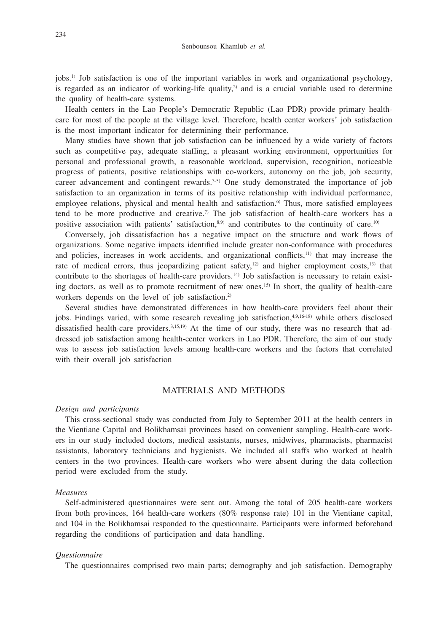jobs.1) Job satisfaction is one of the important variables in work and organizational psychology, is regarded as an indicator of working-life quality,<sup>2)</sup> and is a crucial variable used to determine the quality of health-care systems.

Health centers in the Lao People's Democratic Republic (Lao PDR) provide primary healthcare for most of the people at the village level. Therefore, health center workers' job satisfaction is the most important indicator for determining their performance.

Many studies have shown that job satisfaction can be influenced by a wide variety of factors such as competitive pay, adequate staffing, a pleasant working environment, opportunities for personal and professional growth, a reasonable workload, supervision, recognition, noticeable progress of patients, positive relationships with co-workers, autonomy on the job, job security, career advancement and contingent rewards.<sup>3-5)</sup> One study demonstrated the importance of job satisfaction to an organization in terms of its positive relationship with individual performance, employee relations, physical and mental health and satisfaction.<sup>6)</sup> Thus, more satisfied employees tend to be more productive and creative.<sup>7)</sup> The job satisfaction of health-care workers has a positive association with patients' satisfaction, $8.9$  and contributes to the continuity of care.<sup>10)</sup>

Conversely, job dissatisfaction has a negative impact on the structure and work flows of organizations. Some negative impacts identified include greater non-conformance with procedures and policies, increases in work accidents, and organizational conflicts,11) that may increase the rate of medical errors, thus jeopardizing patient safety, $12$  and higher employment costs, $13$  that contribute to the shortages of health-care providers.14) Job satisfaction is necessary to retain existing doctors, as well as to promote recruitment of new ones.15) In short, the quality of health-care workers depends on the level of job satisfaction.<sup>2)</sup>

Several studies have demonstrated differences in how health-care providers feel about their jobs. Findings varied, with some research revealing job satisfaction,<sup>4,9,16-18)</sup> while others disclosed dissatisfied health-care providers.3,15,19) At the time of our study, there was no research that addressed job satisfaction among health-center workers in Lao PDR. Therefore, the aim of our study was to assess job satisfaction levels among health-care workers and the factors that correlated with their overall job satisfaction

## MATERIALS AND METHODS

#### *Design and participants*

This cross-sectional study was conducted from July to September 2011 at the health centers in the Vientiane Capital and Bolikhamsai provinces based on convenient sampling. Health-care workers in our study included doctors, medical assistants, nurses, midwives, pharmacists, pharmacist assistants, laboratory technicians and hygienists. We included all staffs who worked at health centers in the two provinces. Health-care workers who were absent during the data collection period were excluded from the study.

### *Measures*

Self-administered questionnaires were sent out. Among the total of 205 health-care workers from both provinces, 164 health-care workers (80% response rate) 101 in the Vientiane capital, and 104 in the Bolikhamsai responded to the questionnaire. Participants were informed beforehand regarding the conditions of participation and data handling.

#### *Questionnaire*

The questionnaires comprised two main parts; demography and job satisfaction. Demography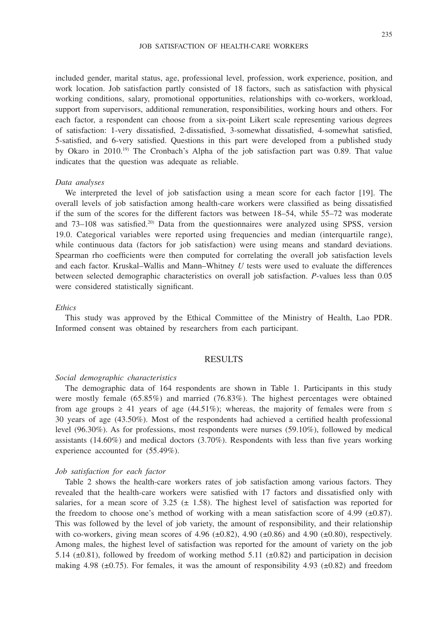#### JOB SATISFACTION OF HEALTH-CARE WORKERS

included gender, marital status, age, professional level, profession, work experience, position, and work location. Job satisfaction partly consisted of 18 factors, such as satisfaction with physical working conditions, salary, promotional opportunities, relationships with co-workers, workload, support from supervisors, additional remuneration, responsibilities, working hours and others. For each factor, a respondent can choose from a six-point Likert scale representing various degrees

of satisfaction: 1-very dissatisfied, 2-dissatisfied, 3-somewhat dissatisfied, 4-somewhat satisfied, 5-satisfied, and 6-very satisfied. Questions in this part were developed from a published study by Okaro in 2010.19) The Cronbach's Alpha of the job satisfaction part was 0.89. That value indicates that the question was adequate as reliable.

#### *Data analyses*

We interpreted the level of job satisfaction using a mean score for each factor [19]. The overall levels of job satisfaction among health-care workers were classified as being dissatisfied if the sum of the scores for the different factors was between 18–54, while 55–72 was moderate and  $73-108$  was satisfied.<sup>20)</sup> Data from the questionnaires were analyzed using SPSS, version 19.0. Categorical variables were reported using frequencies and median (interquartile range), while continuous data (factors for job satisfaction) were using means and standard deviations. Spearman rho coefficients were then computed for correlating the overall job satisfaction levels and each factor. Kruskal–Wallis and Mann–Whitney *U* tests were used to evaluate the differences between selected demographic characteristics on overall job satisfaction. *P*-values less than 0.05 were considered statistically significant.

## *Ethics*

This study was approved by the Ethical Committee of the Ministry of Health, Lao PDR. Informed consent was obtained by researchers from each participant.

# RESULTS

#### *Social demographic characteristics*

The demographic data of 164 respondents are shown in Table 1. Participants in this study were mostly female (65.85%) and married (76.83%). The highest percentages were obtained from age groups  $\geq 41$  years of age (44.51%); whereas, the majority of females were from  $\leq$ 30 years of age (43.50%). Most of the respondents had achieved a certified health professional level (96.30%). As for professions, most respondents were nurses (59.10%), followed by medical assistants  $(14.60\%)$  and medical doctors  $(3.70\%)$ . Respondents with less than five years working experience accounted for (55.49%).

### *Job satisfaction for each factor*

Table 2 shows the health-care workers rates of job satisfaction among various factors. They revealed that the health-care workers were satisfied with 17 factors and dissatisfied only with salaries, for a mean score of  $3.25 \pm 1.58$ ). The highest level of satisfaction was reported for the freedom to choose one's method of working with a mean satisfaction score of 4.99 ( $\pm$ 0.87). This was followed by the level of job variety, the amount of responsibility, and their relationship with co-workers, giving mean scores of 4.96  $(\pm 0.82)$ , 4.90  $(\pm 0.86)$  and 4.90  $(\pm 0.80)$ , respectively. Among males, the highest level of satisfaction was reported for the amount of variety on the job 5.14 ( $\pm$ 0.81), followed by freedom of working method 5.11 ( $\pm$ 0.82) and participation in decision making 4.98 ( $\pm$ 0.75). For females, it was the amount of responsibility 4.93 ( $\pm$ 0.82) and freedom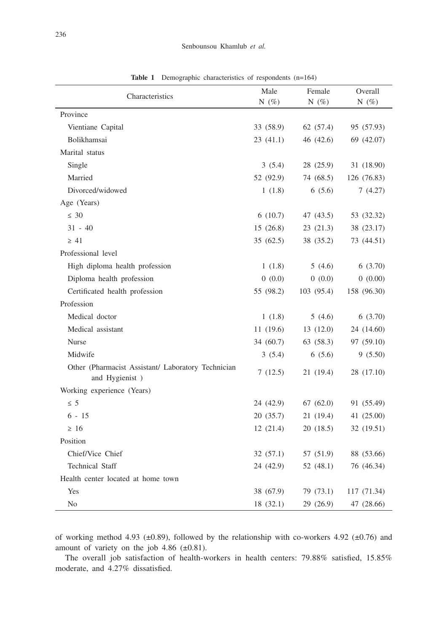| Characteristics                                                       | Male             | Female     | Overall     |
|-----------------------------------------------------------------------|------------------|------------|-------------|
|                                                                       | N $(\%)$         | N $(\%)$   | N $(\%)$    |
| Province                                                              |                  |            |             |
| Vientiane Capital                                                     | 33 (58.9)        | 62 (57.4)  | 95 (57.93)  |
| Bolikhamsai                                                           | 23(41.1)         | 46 (42.6)  | 69 (42.07)  |
| Marital status                                                        |                  |            |             |
| Single                                                                | 3(5.4)           | 28 (25.9)  | 31 (18.90)  |
| Married                                                               | 52 (92.9)        | 74 (68.5)  | 126 (76.83) |
| Divorced/widowed                                                      | 1(1.8)           | 6(5.6)     | 7(4.27)     |
| Age (Years)                                                           |                  |            |             |
| $\leq 30$                                                             | 6(10.7)          | 47 (43.5)  | 53 (32.32)  |
| $31 - 40$                                                             | 15(26.8)         | 23(21.3)   | 38 (23.17)  |
| $\geq 41$                                                             | 35 (62.5)        | 38 (35.2)  | 73 (44.51)  |
| Professional level                                                    |                  |            |             |
| High diploma health profession                                        | 1(1.8)           | 5(4.6)     | 6(3.70)     |
| Diploma health profession                                             | 0(0.0)           | 0(0.0)     | 0(0.00)     |
| Certificated health profession                                        | 55 (98.2)        | 103 (95.4) | 158 (96.30) |
| Profession                                                            |                  |            |             |
| Medical doctor                                                        | 1(1.8)           | 5(4.6)     | 6(3.70)     |
| Medical assistant                                                     | 11(19.6)         | 13(12.0)   | 24 (14.60)  |
| Nurse                                                                 | 34 (60.7)        | 63 (58.3)  | 97 (59.10)  |
| Midwife                                                               | 3(5.4)<br>6(5.6) |            | 9(5.50)     |
| Other (Pharmacist Assistant/ Laboratory Technician<br>and Hygienist ) | 7(12.5)          | 21 (19.4)  | 28 (17.10)  |
| Working experience (Years)                                            |                  |            |             |
| $\leq 5$                                                              | 24 (42.9)        | 67 (62.0)  | 91 (55.49)  |
| $6 - 15$                                                              | 20 (35.7)        | 21(19.4)   | 41 (25.00)  |
| $\geq 16$                                                             | 12(21.4)         | 20(18.5)   | 32 (19.51)  |
| Position                                                              |                  |            |             |
| Chief/Vice Chief                                                      | 32(57.1)         | 57 (51.9)  | 88 (53.66)  |
| <b>Technical Staff</b>                                                | 24 (42.9)        | 52 (48.1)  | 76 (46.34)  |
| Health center located at home town                                    |                  |            |             |
| Yes                                                                   | 38 (67.9)        | 79 (73.1)  | 117 (71.34) |
| N <sub>0</sub>                                                        | 18(32.1)         | 29 (26.9)  | 47 (28.66)  |

**Table 1** Demographic characteristics of respondents (n=164)

of working method 4.93 ( $\pm$ 0.89), followed by the relationship with co-workers 4.92 ( $\pm$ 0.76) and amount of variety on the job 4.86  $(\pm 0.81)$ .

The overall job satisfaction of health-workers in health centers: 79.88% satisfied, 15.85% moderate, and 4.27% dissatisfied.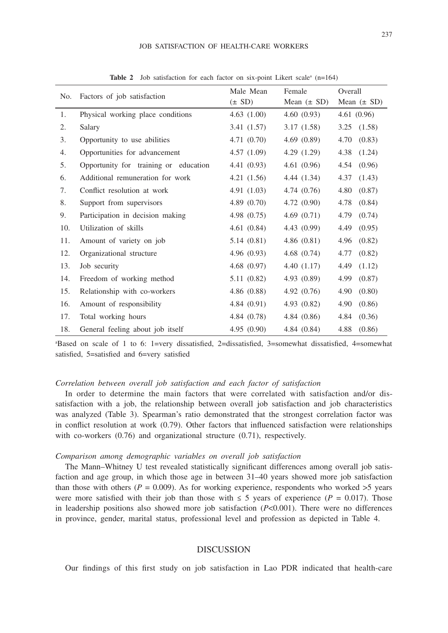#### JOB SATISFACTION OF HEALTH-CARE WORKERS

| No. | Factors of job satisfaction           | Male Mean<br>$(\pm SD)$ | Female<br>Mean $(\pm SD)$ | Overall<br>Mean $(\pm SD)$ |
|-----|---------------------------------------|-------------------------|---------------------------|----------------------------|
| 1.  | Physical working place conditions     | 4.63(1.00)              | 4.60(0.93)                | 4.61(0.96)                 |
| 2.  | Salary                                | 3.41(1.57)              | 3.17(1.58)                | 3.25<br>(1.58)             |
| 3.  | Opportunity to use abilities          | 4.71(0.70)              | 4.69(0.89)                | 4.70<br>(0.83)             |
| 4.  | Opportunities for advancement         | 4.57(1.09)              | 4.29 $(1.29)$             | 4.38<br>(1.24)             |
| 5.  | Opportunity for training or education | 4.41(0.93)              | 4.61(0.96)                | (0.96)<br>4.54             |
| 6.  | Additional remuneration for work      | 4.21(1.56)              | 4.44(1.34)                | 4.37<br>(1.43)             |
| 7.  | Conflict resolution at work           | 4.91 $(1.03)$           | 4.74(0.76)                | (0.87)<br>4.80             |
| 8.  | Support from supervisors              | 4.89(0.70)              | 4.72(0.90)                | 4.78<br>(0.84)             |
| 9.  | Participation in decision making      | 4.98 $(0.75)$           | 4.69 $(0.71)$             | 4.79<br>(0.74)             |
| 10. | Utilization of skills                 | 4.61(0.84)              | 4.43(0.99)                | 4.49<br>(0.95)             |
| 11. | Amount of variety on job              | 5.14(0.81)              | 4.86(0.81)                | (0.82)<br>4.96             |
| 12. | Organizational structure              | 4.96(0.93)              | 4.68(0.74)                | 4.77<br>(0.82)             |
| 13. | Job security                          | 4.68(0.97)              | 4.40(1.17)                | 4.49<br>(1.12)             |
| 14. | Freedom of working method             | 5.11(0.82)              | 4.93(0.89)                | (0.87)<br>4.99             |
| 15. | Relationship with co-workers          | 4.86(0.88)              | 4.92 $(0.76)$             | 4.90<br>(0.80)             |
| 16. | Amount of responsibility              | 4.84(0.91)              | 4.93(0.82)                | 4.90<br>(0.86)             |
| 17. | Total working hours                   | 4.84(0.78)              | 4.84(0.86)                | (0.36)<br>4.84             |
| 18. | General feeling about job itself      | 4.95(0.90)              | 4.84(0.84)                | 4.88<br>(0.86)             |

Table 2 Job satisfaction for each factor on six-point Likert scale<sup>a</sup> (n=164)

a Based on scale of 1 to 6: 1=very dissatisfied, 2=dissatisfied, 3=somewhat dissatisfied, 4=somewhat satisfied, 5=satisfied and 6=very satisfied

#### *Correlation between overall job satisfaction and each factor of satisfaction*

In order to determine the main factors that were correlated with satisfaction and/or dissatisfaction with a job, the relationship between overall job satisfaction and job characteristics was analyzed (Table 3). Spearman's ratio demonstrated that the strongest correlation factor was in conflict resolution at work (0.79). Other factors that influenced satisfaction were relationships with co-workers  $(0.76)$  and organizational structure  $(0.71)$ , respectively.

## *Comparison among demographic variables on overall job satisfaction*

The Mann–Whitney U test revealed statistically significant differences among overall job satisfaction and age group, in which those age in between 31–40 years showed more job satisfaction than those with others ( $P = 0.009$ ). As for working experience, respondents who worked  $>5$  years were more satisfied with their job than those with  $\leq$  5 years of experience (*P* = 0.017). Those in leadership positions also showed more job satisfaction (*P*<0.001). There were no differences in province, gender, marital status, professional level and profession as depicted in Table 4.

## DISCUSSION

Our findings of this first study on job satisfaction in Lao PDR indicated that health-care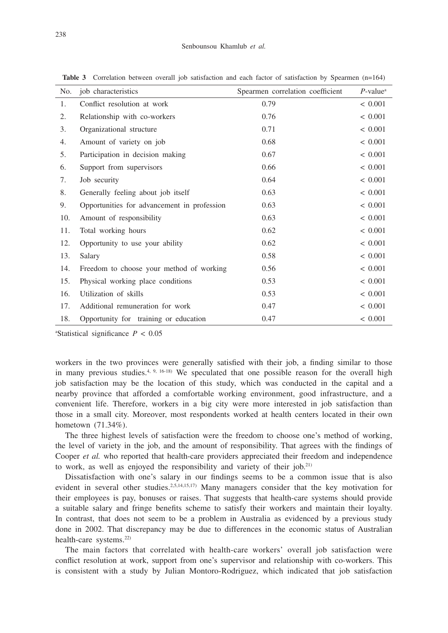| No. | job characteristics                         | Spearmen correlation coefficient | $P$ -value <sup><math>a</math></sup> |
|-----|---------------------------------------------|----------------------------------|--------------------------------------|
| 1.  | Conflict resolution at work                 | 0.79                             | < 0.001                              |
| 2.  | Relationship with co-workers                | 0.76                             | < 0.001                              |
| 3.  | Organizational structure                    | 0.71                             | < 0.001                              |
| 4.  | Amount of variety on job                    | 0.68                             | < 0.001                              |
| 5.  | Participation in decision making            | 0.67                             | < 0.001                              |
| 6.  | Support from supervisors                    | 0.66                             | < 0.001                              |
| 7.  | Job security                                | 0.64                             | ${}< 0.001$                          |
| 8.  | Generally feeling about job itself          | 0.63                             | ${}< 0.001$                          |
| 9.  | Opportunities for advancement in profession | 0.63                             | ${}< 0.001$                          |
| 10. | Amount of responsibility                    | 0.63                             | ${}< 0.001$                          |
| 11. | Total working hours                         | 0.62                             | ${}< 0.001$                          |
| 12. | Opportunity to use your ability             | 0.62                             | ${}< 0.001$                          |
| 13. | Salary                                      | 0.58                             | ${}< 0.001$                          |
| 14. | Freedom to choose your method of working    | 0.56                             | ${}< 0.001$                          |
| 15. | Physical working place conditions           | 0.53                             | < 0.001                              |
| 16. | Utilization of skills                       | 0.53                             | ${}< 0.001$                          |
| 17. | Additional remuneration for work            | 0.47                             | < 0.001                              |
| 18. | Opportunity for training or education       | 0.47                             | < 0.001                              |

**Table 3** Correlation between overall job satisfaction and each factor of satisfaction by Spearmen (n=164)

a Statistical significance *P* < 0.05

workers in the two provinces were generally satisfied with their job, a finding similar to those in many previous studies. $4, 9, 16-18$  We speculated that one possible reason for the overall high job satisfaction may be the location of this study, which was conducted in the capital and a nearby province that afforded a comfortable working environment, good infrastructure, and a convenient life. Therefore, workers in a big city were more interested in job satisfaction than those in a small city. Moreover, most respondents worked at health centers located in their own hometown (71.34%).

The three highest levels of satisfaction were the freedom to choose one's method of working, the level of variety in the job, and the amount of responsibility. That agrees with the findings of Cooper *et al.* who reported that health-care providers appreciated their freedom and independence to work, as well as enjoyed the responsibility and variety of their job.21)

Dissatisfaction with one's salary in our findings seems to be a common issue that is also evident in several other studies.<sup>2,5,14,15,17)</sup> Many managers consider that the key motivation for their employees is pay, bonuses or raises. That suggests that health-care systems should provide a suitable salary and fringe benefits scheme to satisfy their workers and maintain their loyalty. In contrast, that does not seem to be a problem in Australia as evidenced by a previous study done in 2002. That discrepancy may be due to differences in the economic status of Australian health-care systems.<sup>22)</sup>

The main factors that correlated with health-care workers' overall job satisfaction were conflict resolution at work, support from one's supervisor and relationship with co-workers. This is consistent with a study by Julian Montoro-Rodriguez, which indicated that job satisfaction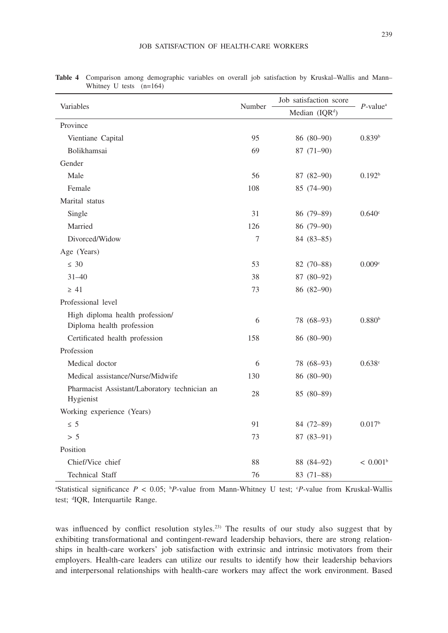| Variables                                                    | Number | Job satisfaction score     | $P$ -value <sup>a</sup> |
|--------------------------------------------------------------|--------|----------------------------|-------------------------|
|                                                              |        | Median (IQR <sup>d</sup> ) |                         |
| Province                                                     |        |                            |                         |
| Vientiane Capital                                            | 95     | 86 (80-90)                 | 0.839 <sup>b</sup>      |
| <b>Bolikhamsai</b>                                           | 69     | $87(71-90)$                |                         |
| Gender                                                       |        |                            |                         |
| Male                                                         | 56     | 87 (82-90)                 | 0.192 <sup>b</sup>      |
| Female                                                       | 108    | 85 (74-90)                 |                         |
| Marital status                                               |        |                            |                         |
| Single                                                       | 31     | 86 (79-89)                 | 0.640°                  |
| Married                                                      | 126    | 86 (79-90)                 |                         |
| Divorced/Widow                                               | 7      | $84(83-85)$                |                         |
| Age (Years)                                                  |        |                            |                         |
| $\leq 30$                                                    | 53     | 82 (70-88)                 | 0.009c                  |
| $31 - 40$                                                    | 38     | 87 (80-92)                 |                         |
| $\geq 41$                                                    | 73     | $86(82-90)$                |                         |
| Professional level                                           |        |                            |                         |
| High diploma health profession/<br>Diploma health profession | 6      | 78 (68-93)                 | 0.880 <sup>b</sup>      |
| Certificated health profession                               | 158    | 86 (80-90)                 |                         |
| Profession                                                   |        |                            |                         |
| Medical doctor                                               | 6      | 78 (68-93)                 | 0.638c                  |
| Medical assistance/Nurse/Midwife                             | 130    | 86 (80-90)                 |                         |
| Pharmacist Assistant/Laboratory technician an                |        |                            |                         |
| Hygienist                                                    | 28     | $85(80-89)$                |                         |
| Working experience (Years)                                   |        |                            |                         |
| $\leq 5$                                                     | 91     | 84 (72-89)                 | 0.017 <sup>b</sup>      |
| > 5                                                          | 73     | $87(83-91)$                |                         |
| Position                                                     |        |                            |                         |
| Chief/Vice chief                                             | 88     | 88 (84-92)                 | $< 0.001^b$             |
| Technical Staff                                              | 76     | 83 (71-88)                 |                         |

**Table 4** Comparison among demographic variables on overall job satisfaction by Kruskal–Wallis and Mann– Whitney U tests (n=164)

a Statistical significance *P* < 0.05; b *P*-value from Mann-Whitney U test; c *P*-value from Kruskal-Wallis test; <sup>d</sup>IQR, Interquartile Range.

was influenced by conflict resolution styles.<sup>23)</sup> The results of our study also suggest that by exhibiting transformational and contingent-reward leadership behaviors, there are strong relationships in health-care workers' job satisfaction with extrinsic and intrinsic motivators from their employers. Health-care leaders can utilize our results to identify how their leadership behaviors and interpersonal relationships with health-care workers may affect the work environment. Based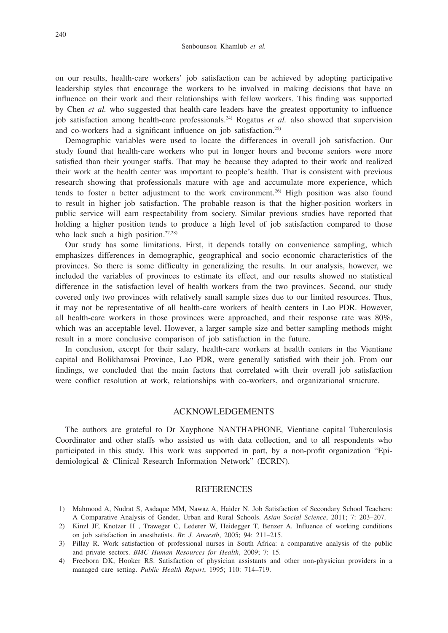on our results, health-care workers' job satisfaction can be achieved by adopting participative leadership styles that encourage the workers to be involved in making decisions that have an influence on their work and their relationships with fellow workers. This finding was supported by Chen *et al.* who suggested that health-care leaders have the greatest opportunity to influence job satisfaction among health-care professionals.<sup>24)</sup> Rogatus *et al.* also showed that supervision and co-workers had a significant influence on job satisfaction.25)

Demographic variables were used to locate the differences in overall job satisfaction. Our study found that health-care workers who put in longer hours and become seniors were more satisfied than their younger staffs. That may be because they adapted to their work and realized their work at the health center was important to people's health. That is consistent with previous research showing that professionals mature with age and accumulate more experience, which tends to foster a better adjustment to the work environment.26) High position was also found to result in higher job satisfaction. The probable reason is that the higher-position workers in public service will earn respectability from society. Similar previous studies have reported that holding a higher position tends to produce a high level of job satisfaction compared to those who lack such a high position.<sup>27,28)</sup>

Our study has some limitations. First, it depends totally on convenience sampling, which emphasizes differences in demographic, geographical and socio economic characteristics of the provinces. So there is some difficulty in generalizing the results. In our analysis, however, we included the variables of provinces to estimate its effect, and our results showed no statistical difference in the satisfaction level of health workers from the two provinces. Second, our study covered only two provinces with relatively small sample sizes due to our limited resources. Thus, it may not be representative of all health-care workers of health centers in Lao PDR. However, all health-care workers in those provinces were approached, and their response rate was 80%, which was an acceptable level. However, a larger sample size and better sampling methods might result in a more conclusive comparison of job satisfaction in the future.

In conclusion, except for their salary, health-care workers at health centers in the Vientiane capital and Bolikhamsai Province, Lao PDR, were generally satisfied with their job. From our findings, we concluded that the main factors that correlated with their overall job satisfaction were conflict resolution at work, relationships with co-workers, and organizational structure.

### ACKNOWLEDGEMENTS

The authors are grateful to Dr Xayphone NANTHAPHONE, Vientiane capital Tuberculosis Coordinator and other staffs who assisted us with data collection, and to all respondents who participated in this study. This work was supported in part, by a non-profit organization "Epidemiological & Clinical Research Information Network" (ECRIN).

## **REFERENCES**

- 1) Mahmood A, Nudrat S, Asdaque MM, Nawaz A, Haider N. Job Satisfaction of Secondary School Teachers: A Comparative Analysis of Gender, Urban and Rural Schools. *Asian Social Science*, 2011; 7: 203–207.
- 2) Kinzl JF, Knotzer H , Traweger C, Lederer W, Heidegger T, Benzer A. Influence of working conditions on job satisfaction in anesthetists. *Br. J. Anaesth*, 2005; 94: 211–215.
- 3) Pillay R. Work satisfaction of professional nurses in South Africa: a comparative analysis of the public and private sectors. *BMC Human Resources for Health*, 2009; 7: 15.
- 4) Freeborn DK, Hooker RS. Satisfaction of physician assistants and other non-physician providers in a managed care setting. *Public Health Report*, 1995; 110: 714–719.